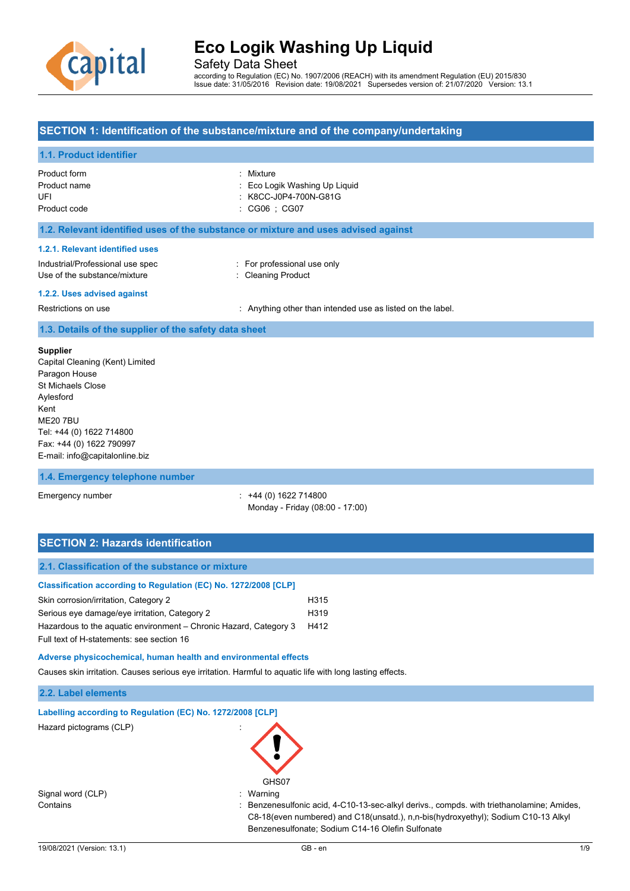

Safety Data Sheet

according to Regulation (EC) No. 1907/2006 (REACH) with its amendment Regulation (EU) 2015/830 Issue date: 31/05/2016 Revision date: 19/08/2021 Supersedes version of: 21/07/2020 Version: 13.1

# **SECTION 1: Identification of the substance/mixture and of the company/undertaking**

# **1.1. Product identifier**

| Product form<br>Product name<br>UFI<br>Product code                                                                                                       | : Mixture<br>: Eco Logik Washing Up Liquid<br>: K8CC-J0P4-700N-G81G<br>$\therefore$ CG06 $\therefore$ CG07      |
|-----------------------------------------------------------------------------------------------------------------------------------------------------------|-----------------------------------------------------------------------------------------------------------------|
|                                                                                                                                                           | 1.2. Relevant identified uses of the substance or mixture and uses advised against                              |
| 1.2.1. Relevant identified uses<br>Industrial/Professional use spec<br>Use of the substance/mixture<br>1.2.2. Uses advised against<br>Restrictions on use | : For professional use only<br>: Cleaning Product<br>: Anything other than intended use as listed on the label. |
| 1.3. Details of the supplier of the safety data sheet                                                                                                     |                                                                                                                 |
| <b>Supplier</b><br>Capital Cleaning (Kent) Limited<br>Paragon House<br>St Michaels Close<br>Aylesford                                                     |                                                                                                                 |

Aylesford Kent ME20 7BU Tel: +44 (0) 1622 714800 Fax: +44 (0) 1622 790997 E-mail: info@capitalonline.biz

### **1.4. Emergency telephone number**

Emergency number : +44 (0) 1622 714800 Monday - Friday (08:00 - 17:00)

# **SECTION 2: Hazards identification**

| 2.1. Classification of the substance or mixture                   |      |
|-------------------------------------------------------------------|------|
| Classification according to Regulation (EC) No. 1272/2008 [CLP]   |      |
| Skin corrosion/irritation, Category 2                             | H315 |
| Serious eye damage/eye irritation, Category 2                     | H319 |
| Hazardous to the aquatic environment – Chronic Hazard, Category 3 | H412 |
| Full text of H-statements: see section 16                         |      |

**Adverse physicochemical, human health and environmental effects**

Causes skin irritation. Causes serious eye irritation. Harmful to aquatic life with long lasting effects.

### **2.2. Label elements**

|  |  |  | Labelling according to Regulation (EC) No. 1272/2008 [CLP] |  |
|--|--|--|------------------------------------------------------------|--|
|  |  |  |                                                            |  |

Hazard pictograms (CLP) :

Signal word (CLP)  $\qquad \qquad$ : Warning

GHS07

Contains **included in the container of the C10-13-Sec-alkyl derivs., compds. with triethanolamine; Amides,** C8-18(even numbered) and C18(unsatd.), n,n-bis(hydroxyethyl); Sodium C10-13 Alkyl Benzenesulfonate; Sodium C14-16 Olefin Sulfonate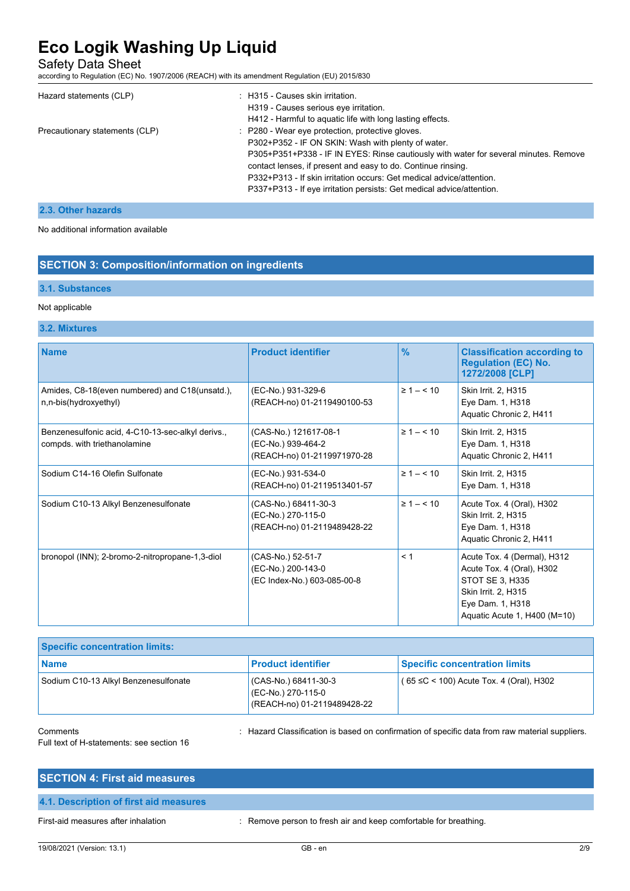Safety Data Sheet

according to Regulation (EC) No. 1907/2006 (REACH) with its amendment Regulation (EU) 2015/830

| Hazard statements (CLP)        | : H315 - Causes skin irritation.<br>H319 - Causes serious eye irritation.<br>H412 - Harmful to aquatic life with long lasting effects.                                                                                                                                                                                                                                                                          |
|--------------------------------|-----------------------------------------------------------------------------------------------------------------------------------------------------------------------------------------------------------------------------------------------------------------------------------------------------------------------------------------------------------------------------------------------------------------|
| Precautionary statements (CLP) | : P280 - Wear eye protection, protective gloves.<br>P302+P352 - IF ON SKIN: Wash with plenty of water.<br>P305+P351+P338 - IF IN EYES: Rinse cautiously with water for several minutes. Remove<br>contact lenses, if present and easy to do. Continue rinsing.<br>P332+P313 - If skin irritation occurs: Get medical advice/attention.<br>P337+P313 - If eye irritation persists: Get medical advice/attention. |

# **2.3. Other hazards**

No additional information available

# **SECTION 3: Composition/information on ingredients**

## **3.1. Substances**

## Not applicable

### **3.2. Mixtures**

| <b>Name</b>                                                                       | <b>Product identifier</b>                                                  | $\frac{9}{6}$      | <b>Classification according to</b><br><b>Regulation (EC) No.</b><br>1272/2008 [CLP]                                                                    |
|-----------------------------------------------------------------------------------|----------------------------------------------------------------------------|--------------------|--------------------------------------------------------------------------------------------------------------------------------------------------------|
| Amides, C8-18(even numbered) and C18(unsatd.),<br>n,n-bis(hydroxyethyl)           | (EC-No.) 931-329-6<br>(REACH-no) 01-2119490100-53                          | $\geq 1 - \leq 10$ | Skin Irrit. 2, H315<br>Eye Dam. 1, H318<br>Aquatic Chronic 2, H411                                                                                     |
| Benzenesulfonic acid, 4-C10-13-sec-alkyl derivs.,<br>compds. with triethanolamine | (CAS-No.) 121617-08-1<br>(EC-No.) 939-464-2<br>(REACH-no) 01-2119971970-28 | $\geq 1 - \leq 10$ | Skin Irrit. 2, H315<br>Eye Dam. 1, H318<br>Aquatic Chronic 2, H411                                                                                     |
| Sodium C14-16 Olefin Sulfonate                                                    | (EC-No.) 931-534-0<br>(REACH-no) 01-2119513401-57                          | $\geq 1 - \leq 10$ | Skin Irrit. 2, H315<br>Eye Dam. 1, H318                                                                                                                |
| Sodium C10-13 Alkyl Benzenesulfonate                                              | (CAS-No.) 68411-30-3<br>(EC-No.) 270-115-0<br>(REACH-no) 01-2119489428-22  | $\geq 1 - \leq 10$ | Acute Tox. 4 (Oral), H302<br>Skin Irrit. 2, H315<br>Eye Dam. 1, H318<br>Aquatic Chronic 2, H411                                                        |
| bronopol (INN); 2-bromo-2-nitropropane-1,3-diol                                   | (CAS-No.) 52-51-7<br>(EC-No.) 200-143-0<br>(EC Index-No.) 603-085-00-8     | < 1                | Acute Tox. 4 (Dermal), H312<br>Acute Tox. 4 (Oral), H302<br>STOT SE 3, H335<br>Skin Irrit. 2, H315<br>Eye Dam. 1, H318<br>Aquatic Acute 1, H400 (M=10) |

| <b>Specific concentration limits:</b> |                                                                           |                                         |  |  |
|---------------------------------------|---------------------------------------------------------------------------|-----------------------------------------|--|--|
| <b>Name</b>                           | <b>Product identifier</b>                                                 | <b>Specific concentration limits</b>    |  |  |
| Sodium C10-13 Alkyl Benzenesulfonate  | (CAS-No.) 68411-30-3<br>(EC-No.) 270-115-0<br>(REACH-no) 01-2119489428-22 | (65 ≤C < 100) Acute Tox. 4 (Oral), H302 |  |  |

Comments : Hazard Classification is based on confirmation of specific data from raw material suppliers.

Full text of H-statements: see section 16

| <b>SECTION 4: First aid measures</b>   |  |  |
|----------------------------------------|--|--|
| 4.1. Description of first aid measures |  |  |

First-aid measures after inhalation : Remove person to fresh air and keep comfortable for breathing.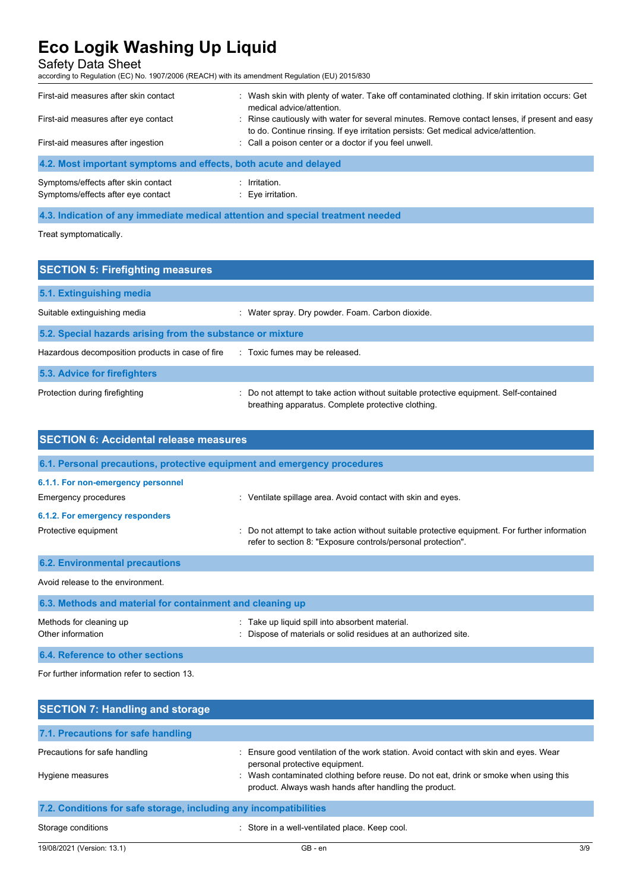Safety Data Sheet

according to Regulation (EC) No. 1907/2006 (REACH) with its amendment Regulation (EU) 2015/830

| First-aid measures after skin contact                            | Wash skin with plenty of water. Take off contaminated clothing. If skin irritation occurs: Get<br>medical advice/attention.                                                         |
|------------------------------------------------------------------|-------------------------------------------------------------------------------------------------------------------------------------------------------------------------------------|
| First-aid measures after eye contact                             | : Rinse cautiously with water for several minutes. Remove contact lenses, if present and easy<br>to do. Continue rinsing. If eye irritation persists: Get medical advice/attention. |
| First-aid measures after ingestion                               | : Call a poison center or a doctor if you feel unwell.                                                                                                                              |
| 4.2. Most important symptoms and effects, both acute and delayed |                                                                                                                                                                                     |
| Symptoms/effects after skin contact                              | Irritation.                                                                                                                                                                         |

Symptoms/effects after eye contact : Eye irritation.

## **4.3. Indication of any immediate medical attention and special treatment needed**

Treat symptomatically.

| <b>SECTION 5: Firefighting measures</b>                    |                                                                                                                                           |
|------------------------------------------------------------|-------------------------------------------------------------------------------------------------------------------------------------------|
| 5.1. Extinguishing media                                   |                                                                                                                                           |
| Suitable extinguishing media                               | : Water spray. Dry powder. Foam. Carbon dioxide.                                                                                          |
| 5.2. Special hazards arising from the substance or mixture |                                                                                                                                           |
| Hazardous decomposition products in case of fire           | : Toxic fumes may be released.                                                                                                            |
| 5.3. Advice for firefighters                               |                                                                                                                                           |
| Protection during firefighting                             | Do not attempt to take action without suitable protective equipment. Self-contained<br>breathing apparatus. Complete protective clothing. |

| <b>SECTION 6: Accidental release measures</b>                            |                                                                                                                                                              |  |  |
|--------------------------------------------------------------------------|--------------------------------------------------------------------------------------------------------------------------------------------------------------|--|--|
| 6.1. Personal precautions, protective equipment and emergency procedures |                                                                                                                                                              |  |  |
| 6.1.1. For non-emergency personnel                                       |                                                                                                                                                              |  |  |
| Emergency procedures                                                     | : Ventilate spillage area. Avoid contact with skin and eyes.                                                                                                 |  |  |
| 6.1.2. For emergency responders                                          |                                                                                                                                                              |  |  |
| Protective equipment                                                     | Do not attempt to take action without suitable protective equipment. For further information<br>refer to section 8: "Exposure controls/personal protection". |  |  |
| <b>6.2. Environmental precautions</b>                                    |                                                                                                                                                              |  |  |
| Avoid release to the environment.                                        |                                                                                                                                                              |  |  |
| 6.3. Methods and material for containment and cleaning up                |                                                                                                                                                              |  |  |
| Methods for cleaning up<br>Other information                             | Take up liquid spill into absorbent material.<br>Dispose of materials or solid residues at an authorized site.                                               |  |  |
| 6.4. Reference to other sections                                         |                                                                                                                                                              |  |  |

For further information refer to section 13.

| <b>SECTION 7: Handling and storage</b>                            |                                                                                                                                               |
|-------------------------------------------------------------------|-----------------------------------------------------------------------------------------------------------------------------------------------|
| 7.1. Precautions for safe handling                                |                                                                                                                                               |
| Precautions for safe handling                                     | . Ensure good ventilation of the work station. Avoid contact with skin and eyes. Wear<br>personal protective equipment.                       |
| Hygiene measures                                                  | Wash contaminated clothing before reuse. Do not eat, drink or smoke when using this<br>product. Always wash hands after handling the product. |
| 7.2. Conditions for safe storage, including any incompatibilities |                                                                                                                                               |

### Storage conditions **Storage conditions** : Store in a well-ventilated place. Keep cool.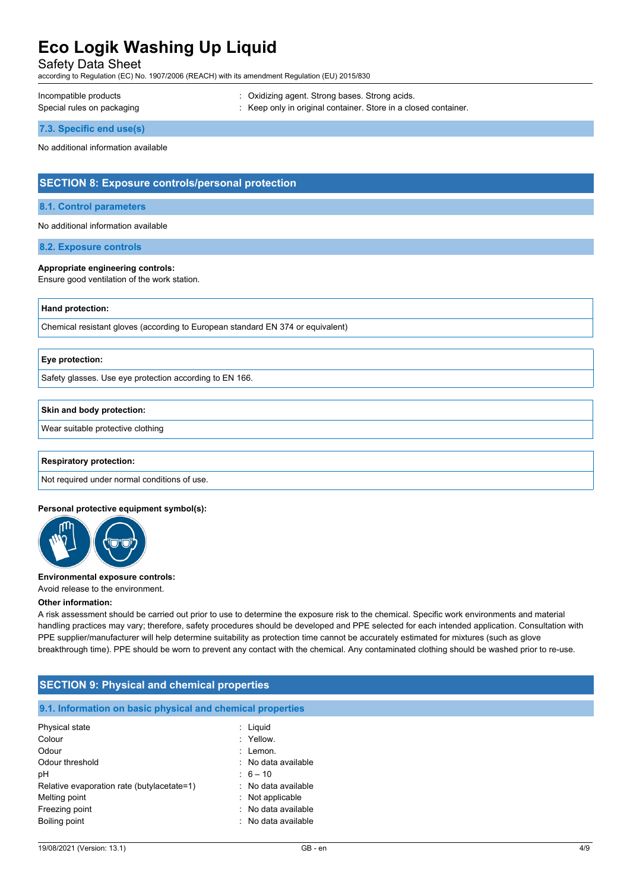Safety Data Sheet

according to Regulation (EC) No. 1907/2006 (REACH) with its amendment Regulation (EU) 2015/830

Incompatible products **incompatible products** : Oxidizing agent. Strong bases. Strong acids.

Special rules on packaging **in the set of the set of the set of the set of the set of the set of the set of the s** 

**7.3. Specific end use(s)**

No additional information available

# **SECTION 8: Exposure controls/personal protection**

#### **8.1. Control parameters**

No additional information available

**8.2. Exposure controls**

#### **Appropriate engineering controls:**

Ensure good ventilation of the work station.

### **Hand protection:**

Chemical resistant gloves (according to European standard EN 374 or equivalent)

#### **Eye protection:**

Safety glasses. Use eye protection according to EN 166.

#### **Skin and body protection:**

Wear suitable protective clothing

#### **Respiratory protection:**

Not required under normal conditions of use.

#### **Personal protective equipment symbol(s):**



## **Environmental exposure controls:**

Avoid release to the environment.

#### **Other information:**

A risk assessment should be carried out prior to use to determine the exposure risk to the chemical. Specific work environments and material handling practices may vary; therefore, safety procedures should be developed and PPE selected for each intended application. Consultation with PPE supplier/manufacturer will help determine suitability as protection time cannot be accurately estimated for mixtures (such as glove breakthrough time). PPE should be worn to prevent any contact with the chemical. Any contaminated clothing should be washed prior to re-use.

| <b>SECTION 9: Physical and chemical properties</b>         |                     |  |  |
|------------------------------------------------------------|---------------------|--|--|
| 9.1. Information on basic physical and chemical properties |                     |  |  |
| Physical state                                             | $:$ Liquid          |  |  |
| Colour                                                     | : Yellow.           |  |  |
| Odour                                                      | : Lemon.            |  |  |
| Odour threshold                                            | : No data available |  |  |
| рH                                                         | $: 6 - 10$          |  |  |
| Relative evaporation rate (butylacetate=1)                 | : No data available |  |  |
| Melting point                                              | $:$ Not applicable  |  |  |
| Freezing point                                             | No data available   |  |  |
| Boiling point                                              | : No data available |  |  |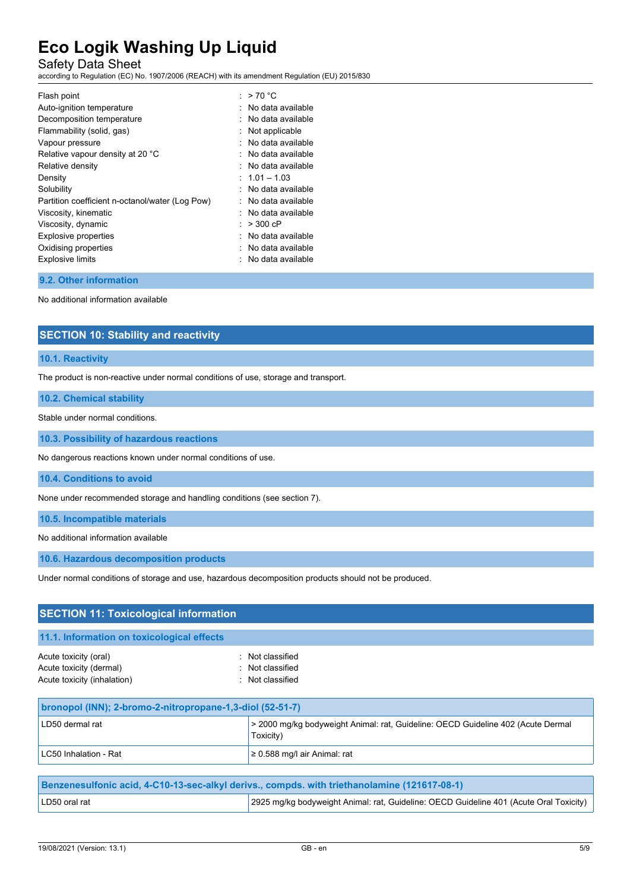Safety Data Sheet

according to Regulation (EC) No. 1907/2006 (REACH) with its amendment Regulation (EU) 2015/830

| Flash point                                     | : $>70 °C$            |
|-------------------------------------------------|-----------------------|
| Auto-ignition temperature                       | $:$ No data available |
| Decomposition temperature                       | $:$ No data available |
| Flammability (solid, gas)                       | Not applicable        |
| Vapour pressure                                 | . No data available   |
| Relative vapour density at 20 °C                | $:$ No data available |
| Relative density                                | : No data available   |
| Density                                         | $: 1.01 - 1.03$       |
| Solubility                                      | No data available     |
| Partition coefficient n-octanol/water (Log Pow) | $:$ No data available |
| Viscosity, kinematic                            | $:$ No data available |
| Viscosity, dynamic                              | $: > 300$ cP          |
| <b>Explosive properties</b>                     | : No data available   |
| Oxidising properties                            | : No data available   |
| <b>Explosive limits</b>                         | : No data available   |
|                                                 |                       |

### **9.2. Other information**

No additional information available

# **SECTION 10: Stability and reactivity**

#### **10.1. Reactivity**

The product is non-reactive under normal conditions of use, storage and transport.

## **10.2. Chemical stability**

Stable under normal conditions.

**10.3. Possibility of hazardous reactions**

No dangerous reactions known under normal conditions of use.

**10.4. Conditions to avoid**

None under recommended storage and handling conditions (see section 7).

**10.5. Incompatible materials**

No additional information available

**10.6. Hazardous decomposition products**

Under normal conditions of storage and use, hazardous decomposition products should not be produced.

| <b>SECTION 11: Toxicological information</b>                                    |                                                                                               |  |
|---------------------------------------------------------------------------------|-----------------------------------------------------------------------------------------------|--|
| 11.1. Information on toxicological effects                                      |                                                                                               |  |
| Acute toxicity (oral)<br>Acute toxicity (dermal)<br>Acute toxicity (inhalation) | : Not classified<br>: Not classified<br>: Not classified                                      |  |
| bronopol (INN); 2-bromo-2-nitropropane-1,3-diol (52-51-7)                       |                                                                                               |  |
| LD50 dermal rat                                                                 | > 2000 mg/kg bodyweight Animal: rat, Guideline: OECD Guideline 402 (Acute Dermal<br>Toxicity) |  |
| LC50 Inhalation - Rat                                                           | $\geq$ 0.588 mg/l air Animal: rat                                                             |  |

| Benzenesulfonic acid, 4-C10-13-sec-alkyl derivs., compds. with triethanolamine (121617-08-1) |                                                                                        |
|----------------------------------------------------------------------------------------------|----------------------------------------------------------------------------------------|
| LD50 oral rat                                                                                | 2925 mg/kg bodyweight Animal: rat, Guideline: OECD Guideline 401 (Acute Oral Toxicity) |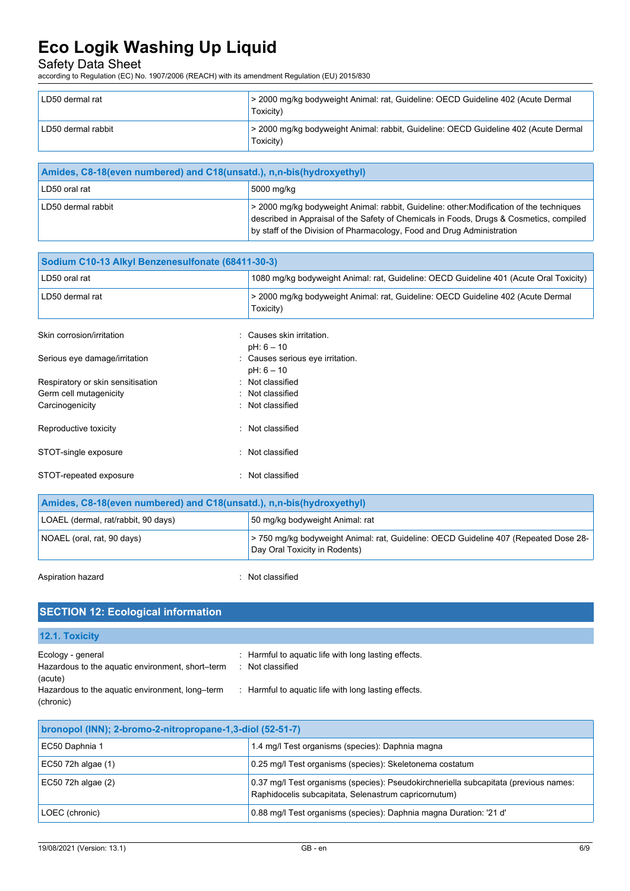# Safety Data Sheet

according to Regulation (EC) No. 1907/2006 (REACH) with its amendment Regulation (EU) 2015/830

| LD50 dermal rat    | > 2000 mg/kg bodyweight Animal: rat, Guideline: OECD Guideline 402 (Acute Dermal<br>Toxicity)    |
|--------------------|--------------------------------------------------------------------------------------------------|
| LD50 dermal rabbit | > 2000 mg/kg bodyweight Animal: rabbit, Guideline: OECD Guideline 402 (Acute Dermal<br>Toxicity) |

| Amides, C8-18 (even numbered) and C18 (unsatd.), n,n-bis (hydroxyethyl) |                                                                                                                                                                                                                                                               |
|-------------------------------------------------------------------------|---------------------------------------------------------------------------------------------------------------------------------------------------------------------------------------------------------------------------------------------------------------|
| LD50 oral rat                                                           | 5000 mg/kg                                                                                                                                                                                                                                                    |
| LD50 dermal rabbit                                                      | > 2000 mg/kg bodyweight Animal: rabbit, Guideline: other: Modification of the techniques<br>described in Appraisal of the Safety of Chemicals in Foods, Drugs & Cosmetics, compiled<br>by staff of the Division of Pharmacology, Food and Drug Administration |

| Sodium C10-13 Alkyl Benzenesulfonate (68411-30-3) |                                                                                               |  |
|---------------------------------------------------|-----------------------------------------------------------------------------------------------|--|
| LD50 oral rat                                     | 1080 mg/kg bodyweight Animal: rat, Guideline: OECD Guideline 401 (Acute Oral Toxicity)        |  |
| LD50 dermal rat                                   | > 2000 mg/kg bodyweight Animal: rat, Guideline: OECD Guideline 402 (Acute Dermal<br>Toxicity) |  |
| Skin corrosion/irritation                         | : Causes skin irritation.<br>$pH: 6 - 10$                                                     |  |
| Serious eye damage/irritation                     | : Causes serious eye irritation.<br>$pH: 6 - 10$                                              |  |
| Respiratory or skin sensitisation                 | : Not classified                                                                              |  |
| Germ cell mutagenicity                            | : Not classified                                                                              |  |
| Carcinogenicity                                   | : Not classified                                                                              |  |
| Reproductive toxicity                             | Not classified                                                                                |  |
| STOT-single exposure                              | : Not classified                                                                              |  |
| STOT-repeated exposure                            | Not classified                                                                                |  |

| Amides, C8-18(even numbered) and C18(unsatd.), n,n-bis(hydroxyethyl) |                                                                                                                      |
|----------------------------------------------------------------------|----------------------------------------------------------------------------------------------------------------------|
| LOAEL (dermal, rat/rabbit, 90 days)                                  | 50 mg/kg bodyweight Animal: rat                                                                                      |
| NOAEL (oral, rat, 90 days)                                           | -750 mg/kg bodyweight Animal: rat, Guideline: OECD Guideline 407 (Repeated Dose 28-<br>Day Oral Toxicity in Rodents) |

Aspiration hazard **in the set of the set of the set of the set of the set of the set of the set of the set of the set of the set of the set of the set of the set of the set of the set of the set of the set of the set of th** 

### **SECTION 12: Ecological information 12.1. Toxicity** Ecology - general **Ecology** - general  $\cdot$  Harmful to aquatic life with long lasting effects. Hazardous to the aquatic environment, short–term (acute) : Not classified Hazardous to the aquatic environment, long–term (chronic) : Harmful to aquatic life with long lasting effects.

| bronopol (INN); 2-bromo-2-nitropropane-1,3-diol (52-51-7) |                                                                                                                                              |
|-----------------------------------------------------------|----------------------------------------------------------------------------------------------------------------------------------------------|
| EC50 Daphnia 1                                            | 1.4 mg/l Test organisms (species): Daphnia magna                                                                                             |
| $EC50$ 72h algae (1)                                      | 0.25 mg/l Test organisms (species): Skeletonema costatum                                                                                     |
| $EC50$ 72h algae (2)                                      | 0.37 mg/l Test organisms (species): Pseudokirchneriella subcapitata (previous names:<br>Raphidocelis subcapitata, Selenastrum capricornutum) |
| LOEC (chronic)                                            | 0.88 mg/l Test organisms (species): Daphnia magna Duration: '21 d'                                                                           |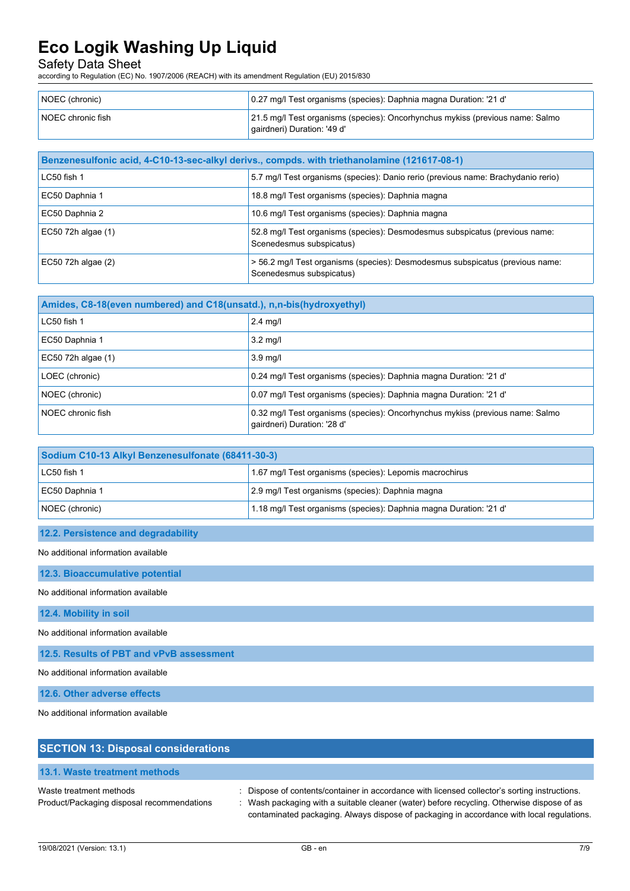Safety Data Sheet

according to Regulation (EC) No. 1907/2006 (REACH) with its amendment Regulation (EU) 2015/830

| NOEC (chronic)    | 0.27 mg/l Test organisms (species): Daphnia magna Duration: '21 d'                                           |
|-------------------|--------------------------------------------------------------------------------------------------------------|
| NOEC chronic fish | 21.5 mg/l Test organisms (species): Oncorhynchus mykiss (previous name: Salmo<br>gairdneri) Duration: '49 d' |

| Benzenesulfonic acid, 4-C10-13-sec-alkyl derivs., compds. with triethanolamine (121617-08-1) |                                                                                                           |
|----------------------------------------------------------------------------------------------|-----------------------------------------------------------------------------------------------------------|
| LC50 fish 1                                                                                  | 5.7 mg/l Test organisms (species): Danio rerio (previous name: Brachydanio rerio)                         |
| EC50 Daphnia 1                                                                               | 18.8 mg/l Test organisms (species): Daphnia magna                                                         |
| EC50 Daphnia 2                                                                               | 10.6 mg/l Test organisms (species): Daphnia magna                                                         |
| $EC50$ 72h algae $(1)$                                                                       | 52.8 mg/l Test organisms (species): Desmodesmus subspicatus (previous name:<br>Scenedesmus subspicatus)   |
| $EC50$ 72h algae $(2)$                                                                       | > 56.2 mg/l Test organisms (species): Desmodesmus subspicatus (previous name:<br>Scenedesmus subspicatus) |

| Amides, C8-18(even numbered) and C18(unsatd.), n,n-bis(hydroxyethyl) |                                                                                                              |
|----------------------------------------------------------------------|--------------------------------------------------------------------------------------------------------------|
| $LC50$ fish 1                                                        | $2.4$ mg/l                                                                                                   |
| EC50 Daphnia 1                                                       | $3.2 \text{ mq/l}$                                                                                           |
| EC50 72h algae (1)                                                   | $3.9$ mg/l                                                                                                   |
| LOEC (chronic)                                                       | 0.24 mg/l Test organisms (species): Daphnia magna Duration: '21 d'                                           |
| NOEC (chronic)                                                       | 0.07 mg/l Test organisms (species): Daphnia magna Duration: '21 d'                                           |
| NOEC chronic fish                                                    | 0.32 mg/l Test organisms (species): Oncorhynchus mykiss (previous name: Salmo<br>qairdneri) Duration: '28 d' |

| Sodium C10-13 Alkyl Benzenesulfonate (68411-30-3) |                                                                    |  |
|---------------------------------------------------|--------------------------------------------------------------------|--|
| LC50 fish 1                                       | 1.67 mg/l Test organisms (species): Lepomis macrochirus            |  |
| EC50 Daphnia 1                                    | 2.9 mg/l Test organisms (species): Daphnia magna                   |  |
| NOEC (chronic)                                    | 1.18 mg/l Test organisms (species): Daphnia magna Duration: '21 d' |  |

### **12.2. Persistence and degradability**

No additional information available

**12.3. Bioaccumulative potential**

No additional information available

**12.4. Mobility in soil**

No additional information available

**12.5. Results of PBT and vPvB assessment**

No additional information available

**12.6. Other adverse effects**

No additional information available

| <b>SECTION 13: Disposal considerations</b>                            |                                                                                                                                                                                                                                                                                        |
|-----------------------------------------------------------------------|----------------------------------------------------------------------------------------------------------------------------------------------------------------------------------------------------------------------------------------------------------------------------------------|
| 13.1. Waste treatment methods                                         |                                                                                                                                                                                                                                                                                        |
| Waste treatment methods<br>Product/Packaging disposal recommendations | : Dispose of contents/container in accordance with licensed collector's sorting instructions.<br>Wash packaging with a suitable cleaner (water) before recycling. Otherwise dispose of as<br>contaminated packaging. Always dispose of packaging in accordance with local regulations. |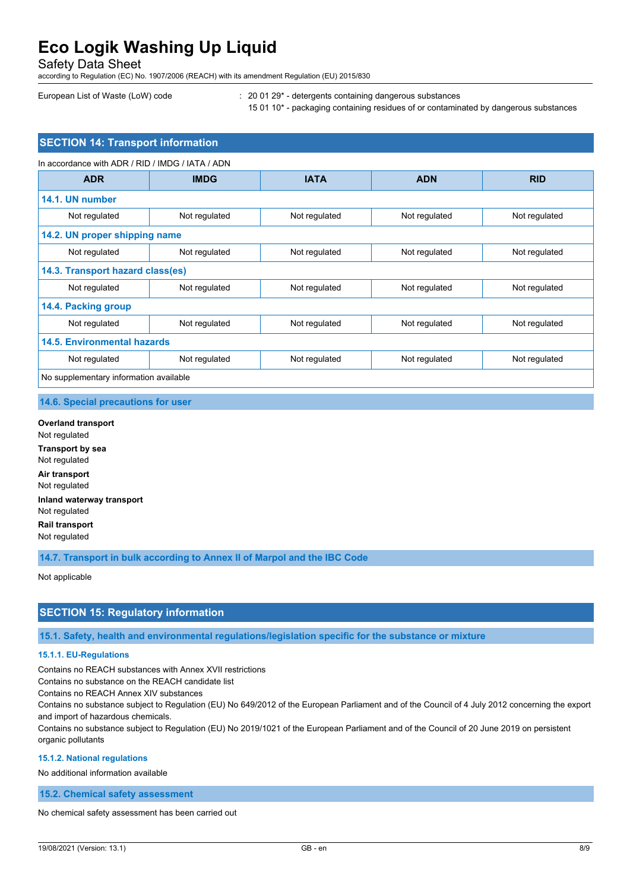Safety Data Sheet

according to Regulation (EC) No. 1907/2006 (REACH) with its amendment Regulation (EU) 2015/830

European List of Waste (LoW) code : 20 01 29\* - detergents containing dangerous substances

15 01 10\* - packaging containing residues of or contaminated by dangerous substances

# **SECTION 14: Transport information**

| In accordance with ADR / RID / IMDG / IATA / ADN |               |               |               |               |  |
|--------------------------------------------------|---------------|---------------|---------------|---------------|--|
| <b>ADR</b>                                       | <b>IMDG</b>   | <b>IATA</b>   | <b>ADN</b>    | <b>RID</b>    |  |
| 14.1. UN number                                  |               |               |               |               |  |
| Not regulated                                    | Not regulated | Not regulated | Not regulated | Not regulated |  |
| 14.2. UN proper shipping name                    |               |               |               |               |  |
| Not regulated                                    | Not regulated | Not regulated | Not regulated | Not regulated |  |
| 14.3. Transport hazard class(es)                 |               |               |               |               |  |
| Not regulated                                    | Not regulated | Not regulated | Not regulated | Not regulated |  |
| 14.4. Packing group                              |               |               |               |               |  |
| Not regulated                                    | Not regulated | Not regulated | Not regulated | Not regulated |  |
| 14.5. Environmental hazards                      |               |               |               |               |  |
| Not regulated                                    | Not regulated | Not regulated | Not regulated | Not regulated |  |
| No supplementary information available           |               |               |               |               |  |

### **14.6. Special precautions for user**

**Overland transport** Not regulated **Transport by sea** Not regulated **Air transport** Not regulated **Inland waterway transport** Not regulated **Rail transport** Not regulated

**14.7. Transport in bulk according to Annex II of Marpol and the IBC Code**

Not applicable

## **SECTION 15: Regulatory information**

**15.1. Safety, health and environmental regulations/legislation specific for the substance or mixture**

#### **15.1.1. EU-Regulations**

Contains no REACH substances with Annex XVII restrictions

Contains no substance on the REACH candidate list

Contains no REACH Annex XIV substances

Contains no substance subject to Regulation (EU) No 649/2012 of the European Parliament and of the Council of 4 July 2012 concerning the export and import of hazardous chemicals.

Contains no substance subject to Regulation (EU) No 2019/1021 of the European Parliament and of the Council of 20 June 2019 on persistent organic pollutants

#### **15.1.2. National regulations**

No additional information available

**15.2. Chemical safety assessment**

No chemical safety assessment has been carried out